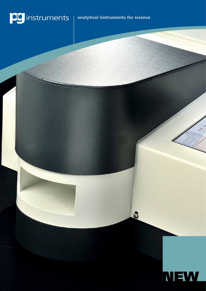



6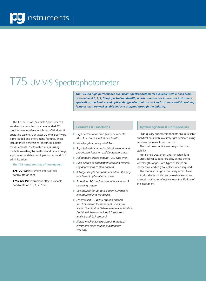## T75 UV-VIS Spectrophotometer

*The T75 is a high performance dual beam spectrophotometer available with a fixed (2nm) or variable (0.5, 1, 2, 5nm) spectral bandwidth, which is innovative in terms of instrument application, mechanical and optical design, electronic control and software whilst retaining features that are well established and accepted through the industry.*

The T75 series of UV-Visible Spectrometers are directly controlled by an embedded PC touch screen interface which has a Windows 8 operating system. Our latest UV-Win 6 software is pre-loaded and offers many features. These include three dimensional spectrum, kinetic measurements, Photometric analysis using multiple wavelengths, method and data storage, exportation of data in multiple formats and GLP administration.

#### **The T75 range consists of two models:**

*T75 UV-Vis* instrument offers a fixed bandwidth of 2nm.

*T75+ UV-Vis* instrument offers a variable bandwidth of 0.5, 1, 2, 5nm

### Features & Functions

- **High performance fixed (2nm) or variable** *(0.5, 1, 2, 5nm) spectral bandwidth.*
- w *Wavelength accuracy +/- 0.3nm.*
- **I** Supplied with a motorised 8 cell changer and *pre-aligned Tungsten and Deuterium lamps.*
- w *Holographic blazed grating 1200 lines /mm.*
- **I** High degree of automation requiring minimal *key depressions to start analysis.*
- w *A Large Sample Compartment allows the easy interface of optional accessories.*
- **Embedded PC touch screen with Windows 8** *operating system.*
- **Cell Storage for up to 8 x 10cm Cuvettes is** *incorporated into the design.*
- **P** Pre-installed UV-Win 6 offering analysis *for Photometric Measurement, Spectrum Scans, Quantitative Determination and Kinetics. Additional features include 3D spectrum analysis and GLP protocol.*
- **Simple mechanical structure and modular** *electronics make routine maintenance very easy.*

### Optical System & Components

High quality optical components ensure reliable analytical data with low stray light achieved using very low noise electronic circuits.

The dual beam optics ensure good optical stability.

Pre-aligned Deuterium and Tungsten light sources deliver superior stability across the full wavelength range. Both types of lamps are inexpensive and easy to replace when required.

The modular design allows easy access to all optical surfaces which can be easily cleaned to maintain optimum reflectivity over the lifetime of the instrument.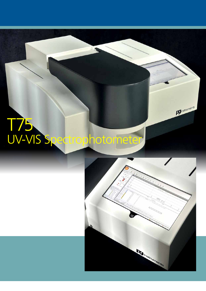# T75 UV-VIS Spectrophotometer



pg<sub>instruments</sub>